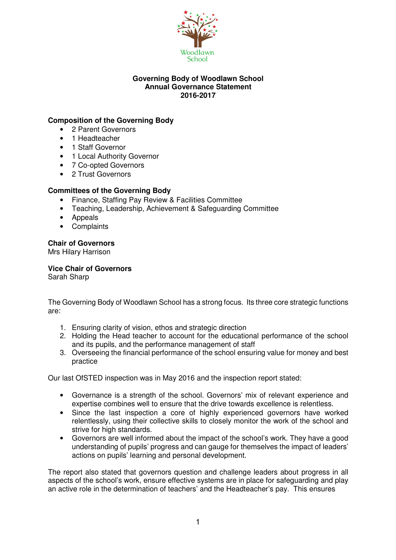

#### **Governing Body of Woodlawn School Annual Governance Statement 2016-2017**

# **Composition of the Governing Body**

- 2 Parent Governors
- 1 Headteacher
- 1 Staff Governor
- 1 Local Authority Governor
- 7 Co-opted Governors
- 2 Trust Governors

## **Committees of the Governing Body**

- Finance, Staffing Pay Review & Facilities Committee
- Teaching, Leadership, Achievement & Safeguarding Committee
- Appeals
- Complaints

## **Chair of Governors**

Mrs Hilary Harrison

## **Vice Chair of Governors**

Sarah Sharp

The Governing Body of Woodlawn School has a strong focus. Its three core strategic functions are:

- 1. Ensuring clarity of vision, ethos and strategic direction
- 2. Holding the Head teacher to account for the educational performance of the school and its pupils, and the performance management of staff
- 3. Overseeing the financial performance of the school ensuring value for money and best practice

Our last OfSTED inspection was in May 2016 and the inspection report stated:

- Governance is a strength of the school. Governors' mix of relevant experience and expertise combines well to ensure that the drive towards excellence is relentless.
- Since the last inspection a core of highly experienced governors have worked relentlessly, using their collective skills to closely monitor the work of the school and strive for high standards.
- Governors are well informed about the impact of the school's work. They have a good understanding of pupils' progress and can gauge for themselves the impact of leaders' actions on pupils' learning and personal development.

The report also stated that governors question and challenge leaders about progress in all aspects of the school's work, ensure effective systems are in place for safeguarding and play an active role in the determination of teachers' and the Headteacher's pay. This ensures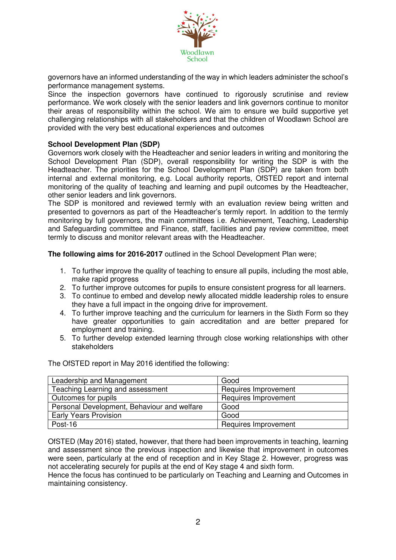

governors have an informed understanding of the way in which leaders administer the school's performance management systems.

Since the inspection governors have continued to rigorously scrutinise and review performance. We work closely with the senior leaders and link governors continue to monitor their areas of responsibility within the school. We aim to ensure we build supportive yet challenging relationships with all stakeholders and that the children of Woodlawn School are provided with the very best educational experiences and outcomes

### **School Development Plan (SDP)**

Governors work closely with the Headteacher and senior leaders in writing and monitoring the School Development Plan (SDP), overall responsibility for writing the SDP is with the Headteacher. The priorities for the School Development Plan (SDP) are taken from both internal and external monitoring, e.g. Local authority reports, OfSTED report and internal monitoring of the quality of teaching and learning and pupil outcomes by the Headteacher, other senior leaders and link governors.

The SDP is monitored and reviewed termly with an evaluation review being written and presented to governors as part of the Headteacher's termly report. In addition to the termly monitoring by full governors, the main committees i.e. Achievement, Teaching, Leadership and Safeguarding committee and Finance, staff, facilities and pay review committee, meet termly to discuss and monitor relevant areas with the Headteacher.

**The following aims for 2016-2017** outlined in the School Development Plan were:

- 1. To further improve the quality of teaching to ensure all pupils, including the most able, make rapid progress
- 2. To further improve outcomes for pupils to ensure consistent progress for all learners.
- 3. To continue to embed and develop newly allocated middle leadership roles to ensure they have a full impact in the ongoing drive for improvement.
- 4. To further improve teaching and the curriculum for learners in the Sixth Form so they have greater opportunities to gain accreditation and are better prepared for employment and training.
- 5. To further develop extended learning through close working relationships with other stakeholders

The OfSTED report in May 2016 identified the following:

| Leadership and Management                   | Good                 |
|---------------------------------------------|----------------------|
| Teaching Learning and assessment            | Requires Improvement |
| Outcomes for pupils                         | Requires Improvement |
| Personal Development, Behaviour and welfare | Good                 |
| <b>Early Years Provision</b>                | Good                 |
| Post-16                                     | Requires Improvement |

OfSTED (May 2016) stated, however, that there had been improvements in teaching, learning and assessment since the previous inspection and likewise that improvement in outcomes were seen, particularly at the end of reception and in Key Stage 2. However, progress was not accelerating securely for pupils at the end of Key stage 4 and sixth form.

Hence the focus has continued to be particularly on Teaching and Learning and Outcomes in maintaining consistency.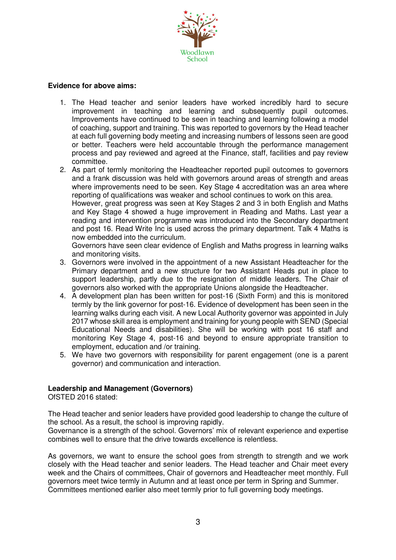

#### **Evidence for above aims:**

- 1. The Head teacher and senior leaders have worked incredibly hard to secure improvement in teaching and learning and subsequently pupil outcomes. Improvements have continued to be seen in teaching and learning following a model of coaching, support and training. This was reported to governors by the Head teacher at each full governing body meeting and increasing numbers of lessons seen are good or better. Teachers were held accountable through the performance management process and pay reviewed and agreed at the Finance, staff, facilities and pay review committee.
- 2. As part of termly monitoring the Headteacher reported pupil outcomes to governors and a frank discussion was held with governors around areas of strength and areas where improvements need to be seen. Key Stage 4 accreditation was an area where reporting of qualifications was weaker and school continues to work on this area. However, great progress was seen at Key Stages 2 and 3 in both English and Maths and Key Stage 4 showed a huge improvement in Reading and Maths. Last year a reading and intervention programme was introduced into the Secondary department and post 16. Read Write Inc is used across the primary department. Talk 4 Maths is now embedded into the curriculum.

Governors have seen clear evidence of English and Maths progress in learning walks and monitoring visits.

- 3. Governors were involved in the appointment of a new Assistant Headteacher for the Primary department and a new structure for two Assistant Heads put in place to support leadership, partly due to the resignation of middle leaders. The Chair of governors also worked with the appropriate Unions alongside the Headteacher.
- 4. A development plan has been written for post-16 (Sixth Form) and this is monitored termly by the link governor for post-16. Evidence of development has been seen in the learning walks during each visit. A new Local Authority governor was appointed in July 2017 whose skill area is employment and training for young people with SEND (Special Educational Needs and disabilities). She will be working with post 16 staff and monitoring Key Stage 4, post-16 and beyond to ensure appropriate transition to employment, education and /or training.
- 5. We have two governors with responsibility for parent engagement (one is a parent governor) and communication and interaction.

#### **Leadership and Management (Governors)**

OfSTED 2016 stated:

The Head teacher and senior leaders have provided good leadership to change the culture of the school. As a result, the school is improving rapidly.

Governance is a strength of the school. Governors' mix of relevant experience and expertise combines well to ensure that the drive towards excellence is relentless.

As governors, we want to ensure the school goes from strength to strength and we work closely with the Head teacher and senior leaders. The Head teacher and Chair meet every week and the Chairs of committees, Chair of governors and Headteacher meet monthly. Full governors meet twice termly in Autumn and at least once per term in Spring and Summer. Committees mentioned earlier also meet termly prior to full governing body meetings.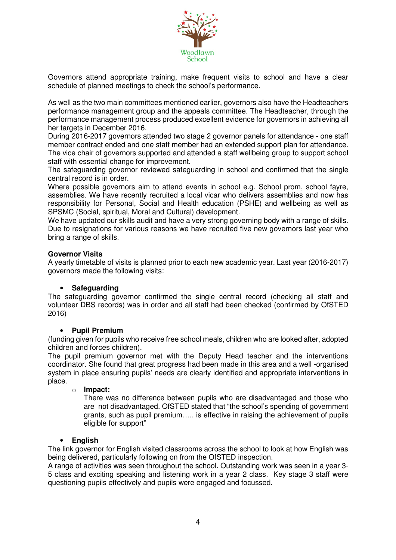

Governors attend appropriate training, make frequent visits to school and have a clear schedule of planned meetings to check the school's performance.

As well as the two main committees mentioned earlier, governors also have the Headteachers performance management group and the appeals committee. The Headteacher, through the performance management process produced excellent evidence for governors in achieving all her targets in December 2016.

During 2016-2017 governors attended two stage 2 governor panels for attendance - one staff member contract ended and one staff member had an extended support plan for attendance. The vice chair of governors supported and attended a staff wellbeing group to support school staff with essential change for improvement.

The safeguarding governor reviewed safeguarding in school and confirmed that the single central record is in order.

Where possible governors aim to attend events in school e.g. School prom, school fayre, assemblies. We have recently recruited a local vicar who delivers assemblies and now has responsibility for Personal, Social and Health education (PSHE) and wellbeing as well as SPSMC (Social, spiritual, Moral and Cultural) development.

We have updated our skills audit and have a very strong governing body with a range of skills. Due to resignations for various reasons we have recruited five new governors last year who bring a range of skills.

#### **Governor Visits**

A yearly timetable of visits is planned prior to each new academic year. Last year (2016-2017) governors made the following visits:

#### • **Safeguarding**

The safeguarding governor confirmed the single central record (checking all staff and volunteer DBS records) was in order and all staff had been checked (confirmed by OfSTED 2016)

#### • **Pupil Premium**

(funding given for pupils who receive free school meals, children who are looked after, adopted children and forces children).

The pupil premium governor met with the Deputy Head teacher and the interventions coordinator. She found that great progress had been made in this area and a well -organised system in place ensuring pupils' needs are clearly identified and appropriate interventions in place.

#### o **Impact:**

There was no difference between pupils who are disadvantaged and those who are not disadvantaged. OfSTED stated that "the school's spending of government grants, such as pupil premium….. is effective in raising the achievement of pupils eligible for support"

#### • **English**

The link governor for English visited classrooms across the school to look at how English was being delivered, particularly following on from the OfSTED inspection.

A range of activities was seen throughout the school. Outstanding work was seen in a year 3- 5 class and exciting speaking and listening work in a year 2 class. Key stage 3 staff were questioning pupils effectively and pupils were engaged and focussed.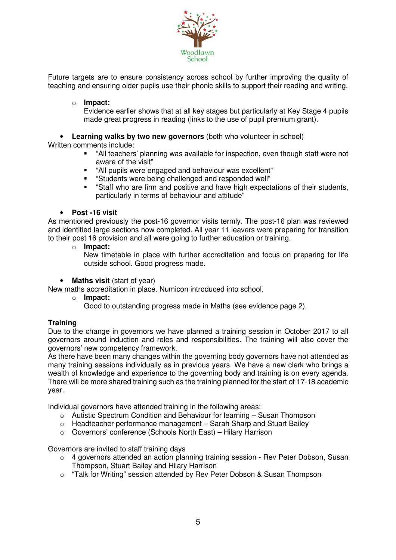

Future targets are to ensure consistency across school by further improving the quality of teaching and ensuring older pupils use their phonic skills to support their reading and writing.

### o **Impact:**

Evidence earlier shows that at all key stages but particularly at Key Stage 4 pupils made great progress in reading (links to the use of pupil premium grant).

• **Learning walks by two new governors** (both who volunteer in school)

Written comments include:

- "All teachers' planning was available for inspection, even though staff were not aware of the visit"
- "All pupils were engaged and behaviour was excellent"
- "Students were being challenged and responded well"
- "Staff who are firm and positive and have high expectations of their students, particularly in terms of behaviour and attitude"

#### • **Post -16 visit**

As mentioned previously the post-16 governor visits termly. The post-16 plan was reviewed and identified large sections now completed. All year 11 leavers were preparing for transition to their post 16 provision and all were going to further education or training.

o **Impact:** 

New timetable in place with further accreditation and focus on preparing for life outside school. Good progress made.

• **Maths visit** (start of year)

New maths accreditation in place. Numicon introduced into school.

- o **Impact:** 
	- Good to outstanding progress made in Maths (see evidence page 2).

#### **Training**

Due to the change in governors we have planned a training session in October 2017 to all governors around induction and roles and responsibilities. The training will also cover the governors' new competency framework.

As there have been many changes within the governing body governors have not attended as many training sessions individually as in previous years. We have a new clerk who brings a wealth of knowledge and experience to the governing body and training is on every agenda. There will be more shared training such as the training planned for the start of 17-18 academic year.

Individual governors have attended training in the following areas:

- $\circ$  Autistic Spectrum Condition and Behaviour for learning Susan Thompson
- $\circ$  Headteacher performance management Sarah Sharp and Stuart Bailey
- o Governors' conference (Schools North East) Hilary Harrison

Governors are invited to staff training days

- $\circ$  4 governors attended an action planning training session Rev Peter Dobson, Susan Thompson, Stuart Bailey and Hilary Harrison
- o "Talk for Writing" session attended by Rev Peter Dobson & Susan Thompson